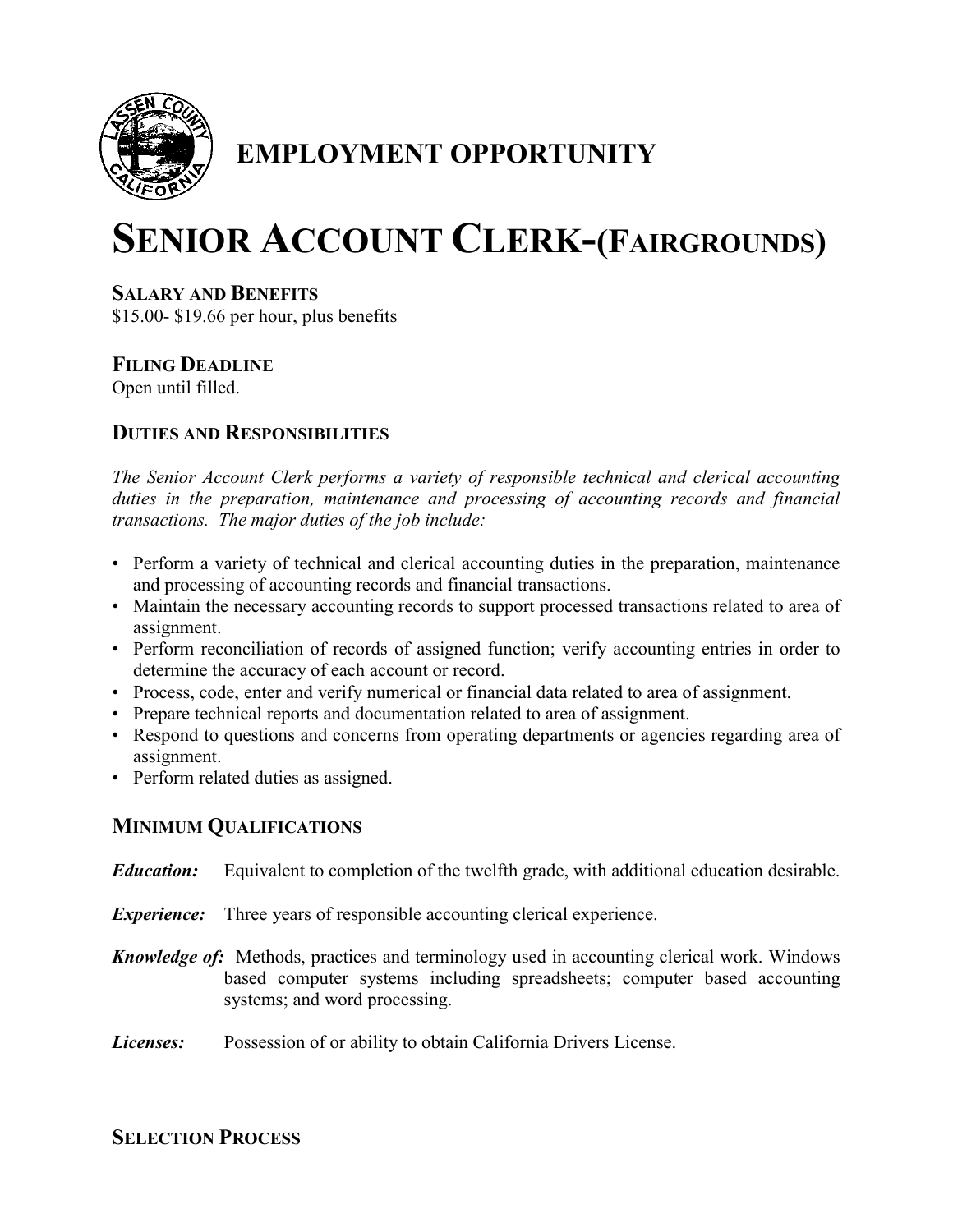

## **EMPLOYMENT OPPORTUNITY**

# **SENIOR ACCOUNT CLERK-(FAIRGROUNDS)**

#### **SALARY AND BENEFITS**

\$15.00- \$19.66 per hour, plus benefits

### **FILING DEADLINE**

Open until filled.

#### **DUTIES AND RESPONSIBILITIES**

*The Senior Account Clerk performs a variety of responsible technical and clerical accounting duties in the preparation, maintenance and processing of accounting records and financial transactions. The major duties of the job include:*

- Perform a variety of technical and clerical accounting duties in the preparation, maintenance and processing of accounting records and financial transactions.
- Maintain the necessary accounting records to support processed transactions related to area of assignment.
- Perform reconciliation of records of assigned function; verify accounting entries in order to determine the accuracy of each account or record.
- Process, code, enter and verify numerical or financial data related to area of assignment.
- Prepare technical reports and documentation related to area of assignment.
- Respond to questions and concerns from operating departments or agencies regarding area of assignment.
- Perform related duties as assigned.

#### **MINIMUM QUALIFICATIONS**

- *Education:* Equivalent to completion of the twelfth grade, with additional education desirable.
- *Experience:* Three years of responsible accounting clerical experience.
- *Knowledge of:* Methods, practices and terminology used in accounting clerical work. Windows based computer systems including spreadsheets; computer based accounting systems; and word processing.
- *Licenses:* Possession of or ability to obtain California Drivers License.

#### **SELECTION PROCESS**